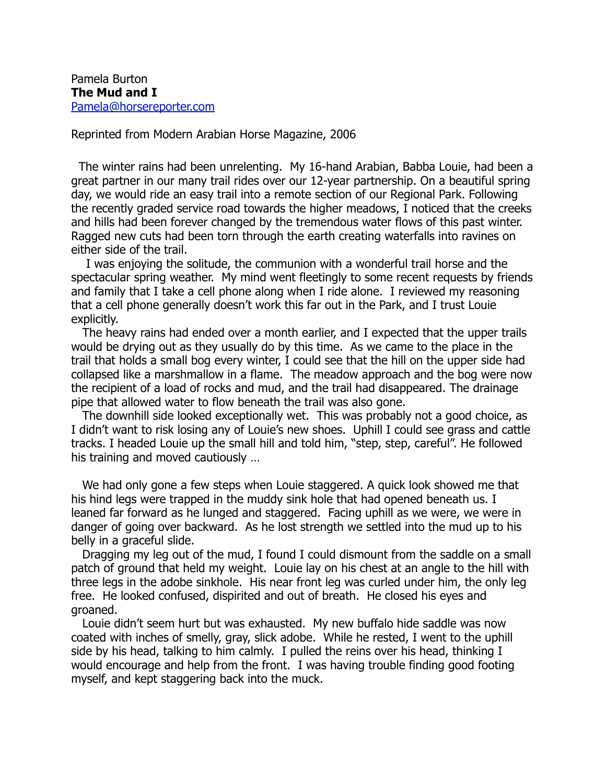Reprinted from Modern Arabian Horse Magazine, 2006

 The winter rains had been unrelenting. My 16-hand Arabian, Babba Louie, had been a great partner in our many trail rides over our 12-year partnership. On a beautiful spring day, we would ride an easy trail into a remote section of our Regional Park. Following the recently graded service road towards the higher meadows, I noticed that the creeks and hills had been forever changed by the tremendous water flows of this past winter. Ragged new cuts had been torn through the earth creating waterfalls into ravines on either side of the trail.

 I was enjoying the solitude, the communion with a wonderful trail horse and the spectacular spring weather. My mind went fleetingly to some recent requests by friends and family that I take a cell phone along when I ride alone. I reviewed my reasoning that a cell phone generally doesn't work this far out in the Park, and I trust Louie explicitly.

 The heavy rains had ended over a month earlier, and I expected that the upper trails would be drying out as they usually do by this time. As we came to the place in the trail that holds a small bog every winter, I could see that the hill on the upper side had collapsed like a marshmallow in a flame. The meadow approach and the bog were now the recipient of a load of rocks and mud, and the trail had disappeared. The drainage pipe that allowed water to flow beneath the trail was also gone.

 The downhill side looked exceptionally wet. This was probably not a good choice, as I didn't want to risk losing any of Louie's new shoes. Uphill I could see grass and cattle tracks. I headed Louie up the small hill and told him, "step, step, careful". He followed his training and moved cautiously …

 We had only gone a few steps when Louie staggered. A quick look showed me that his hind legs were trapped in the muddy sink hole that had opened beneath us. I leaned far forward as he lunged and staggered. Facing uphill as we were, we were in danger of going over backward. As he lost strength we settled into the mud up to his belly in a graceful slide.

 Dragging my leg out of the mud, I found I could dismount from the saddle on a small patch of ground that held my weight. Louie lay on his chest at an angle to the hill with three legs in the adobe sinkhole. His near front leg was curled under him, the only leg free. He looked confused, dispirited and out of breath. He closed his eyes and groaned.

 Louie didn't seem hurt but was exhausted. My new buffalo hide saddle was now coated with inches of smelly, gray, slick adobe. While he rested, I went to the uphill side by his head, talking to him calmly. I pulled the reins over his head, thinking I would encourage and help from the front. I was having trouble finding good footing myself, and kept staggering back into the muck.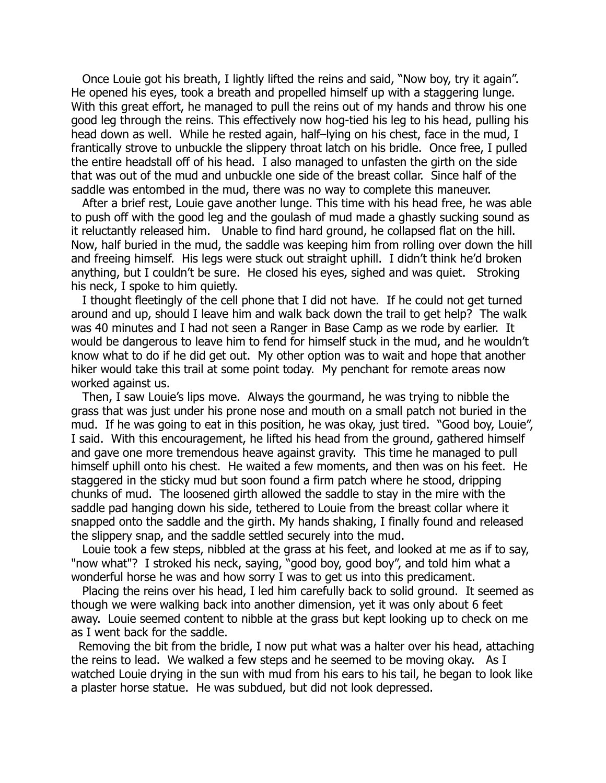Once Louie got his breath, I lightly lifted the reins and said, "Now boy, try it again". He opened his eyes, took a breath and propelled himself up with a staggering lunge. With this great effort, he managed to pull the reins out of my hands and throw his one good leg through the reins. This effectively now hog-tied his leg to his head, pulling his head down as well. While he rested again, half–lying on his chest, face in the mud, I frantically strove to unbuckle the slippery throat latch on his bridle. Once free, I pulled the entire headstall off of his head. I also managed to unfasten the girth on the side that was out of the mud and unbuckle one side of the breast collar. Since half of the saddle was entombed in the mud, there was no way to complete this maneuver.

 After a brief rest, Louie gave another lunge. This time with his head free, he was able to push off with the good leg and the goulash of mud made a ghastly sucking sound as it reluctantly released him. Unable to find hard ground, he collapsed flat on the hill. Now, half buried in the mud, the saddle was keeping him from rolling over down the hill and freeing himself. His legs were stuck out straight uphill. I didn't think he'd broken anything, but I couldn't be sure. He closed his eyes, sighed and was quiet. Stroking his neck, I spoke to him quietly.

 I thought fleetingly of the cell phone that I did not have. If he could not get turned around and up, should I leave him and walk back down the trail to get help? The walk was 40 minutes and I had not seen a Ranger in Base Camp as we rode by earlier. It would be dangerous to leave him to fend for himself stuck in the mud, and he wouldn't know what to do if he did get out. My other option was to wait and hope that another hiker would take this trail at some point today. My penchant for remote areas now worked against us.

 Then, I saw Louie's lips move. Always the gourmand, he was trying to nibble the grass that was just under his prone nose and mouth on a small patch not buried in the mud. If he was going to eat in this position, he was okay, just tired. "Good boy, Louie", I said. With this encouragement, he lifted his head from the ground, gathered himself and gave one more tremendous heave against gravity. This time he managed to pull himself uphill onto his chest. He waited a few moments, and then was on his feet. He staggered in the sticky mud but soon found a firm patch where he stood, dripping chunks of mud. The loosened girth allowed the saddle to stay in the mire with the saddle pad hanging down his side, tethered to Louie from the breast collar where it snapped onto the saddle and the girth. My hands shaking, I finally found and released the slippery snap, and the saddle settled securely into the mud.

 Louie took a few steps, nibbled at the grass at his feet, and looked at me as if to say, "now what"? I stroked his neck, saying, "good boy, good boy", and told him what a wonderful horse he was and how sorry I was to get us into this predicament.

 Placing the reins over his head, I led him carefully back to solid ground. It seemed as though we were walking back into another dimension, yet it was only about 6 feet away. Louie seemed content to nibble at the grass but kept looking up to check on me as I went back for the saddle.

 Removing the bit from the bridle, I now put what was a halter over his head, attaching the reins to lead. We walked a few steps and he seemed to be moving okay. As I watched Louie drying in the sun with mud from his ears to his tail, he began to look like a plaster horse statue. He was subdued, but did not look depressed.